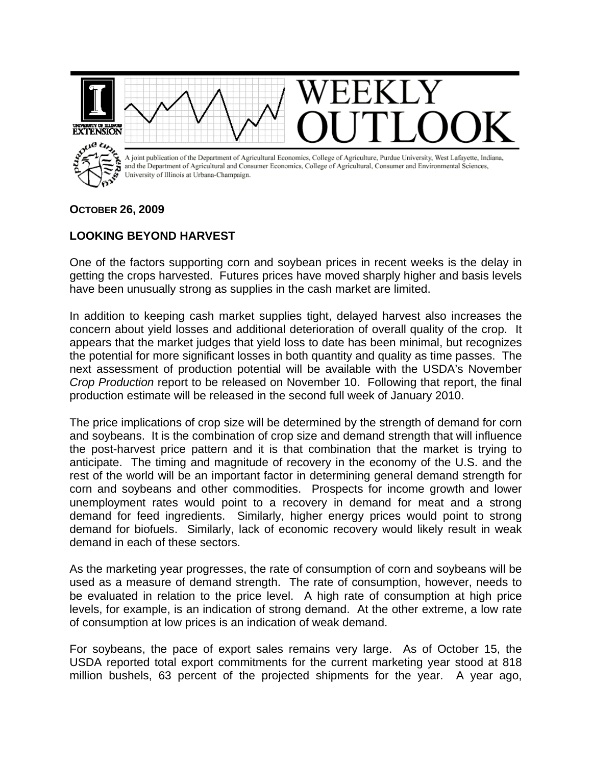

## **OCTOBER 26, 2009**

## **LOOKING BEYOND HARVEST**

One of the factors supporting corn and soybean prices in recent weeks is the delay in getting the crops harvested. Futures prices have moved sharply higher and basis levels have been unusually strong as supplies in the cash market are limited.

In addition to keeping cash market supplies tight, delayed harvest also increases the concern about yield losses and additional deterioration of overall quality of the crop. It appears that the market judges that yield loss to date has been minimal, but recognizes the potential for more significant losses in both quantity and quality as time passes. The next assessment of production potential will be available with the USDA's November *Crop Production* report to be released on November 10. Following that report, the final production estimate will be released in the second full week of January 2010.

The price implications of crop size will be determined by the strength of demand for corn and soybeans. It is the combination of crop size and demand strength that will influence the post-harvest price pattern and it is that combination that the market is trying to anticipate. The timing and magnitude of recovery in the economy of the U.S. and the rest of the world will be an important factor in determining general demand strength for corn and soybeans and other commodities. Prospects for income growth and lower unemployment rates would point to a recovery in demand for meat and a strong demand for feed ingredients. Similarly, higher energy prices would point to strong demand for biofuels. Similarly, lack of economic recovery would likely result in weak demand in each of these sectors.

As the marketing year progresses, the rate of consumption of corn and soybeans will be used as a measure of demand strength. The rate of consumption, however, needs to be evaluated in relation to the price level. A high rate of consumption at high price levels, for example, is an indication of strong demand. At the other extreme, a low rate of consumption at low prices is an indication of weak demand.

For soybeans, the pace of export sales remains very large. As of October 15, the USDA reported total export commitments for the current marketing year stood at 818 million bushels, 63 percent of the projected shipments for the year. A year ago,